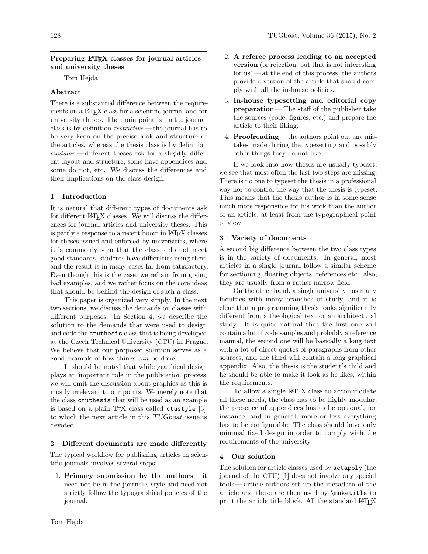### Preparing LATEX classes for journal articles and university theses

Tom Hejda

# Abstract

There is a substantial difference between the requirements on a LATEX class for a scientific journal and for university theses. The main point is that a journal class is by definition restrictive — the journal has to be very keen on the precise look and structure of the articles, whereas the thesis class is by definition  $modular$  — different theses ask for a slightly different layout and structure, some have appendices and some do not, etc. We discuss the differences and their implications on the class design.

# 1 Introduction

It is natural that different types of documents ask for different LAT<sub>F</sub>X classes. We will discuss the differences for journal articles and university theses. This is partly a response to a recent boom in LATEX classes for theses issued and enforced by universities, where it is commonly seen that the classes do not meet good standards, students have difficulties using them and the result is in many cases far from satisfactory. Even though this is the case, we refrain from giving bad examples, and we rather focus on the core ideas that should be behind the design of such a class.

This paper is organized very simply. In the next two sections, we discuss the demands on classes with different purposes. In Section [4,](#page-0-0) we describe the solution to the demands that were used to design and code the ctuthesis class that is being developed at the Czech Technical University (CTU) in Prague. We believe that our proposed solution serves as a good example of how things can be done.

It should be noted that while graphical design plays an important role in the publication process, we will omit the discussion about graphics as this is mostly irrelevant to our points. We merely note that the class ctuthesis that will be used as an example is based on a plain T<sub>E</sub>X class called ctustyle  $[3]$ , to which the next article in this TUGboat issue is devoted.

#### 2 Different documents are made differently

The typical workflow for publishing articles in scientific journals involves several steps:

1. Primary submission by the authors  $-$  it need not be in the journal's style and need not strictly follow the typographical policies of the journal.

- 2. A referee process leading to an accepted version (or rejection, but that is not interesting for us) — at the end of this process, the authors provide a version of the article that should comply with all the in-house policies.
- 3. In-house typesetting and editorial copy preparation — The staff of the publisher take the sources (code, figures, etc.) and prepare the article to their liking.
- 4. Proofreading the authors point out any mistakes made during the typesetting and possibly other things they do not like.

If we look into how theses are usually typeset, we see that most often the last two steps are missing: There is no one to typeset the thesis in a professional way nor to control the way that the thesis is typeset. This means that the thesis author is in some sense much more responsible for his work than the author of an article, at least from the typographical point of view.

#### 3 Variety of documents

A second big difference between the two class types is in the variety of documents. In general, most articles in a single journal follow a similar scheme for sectioning, floating objects, references etc.; also, they are usually from a rather narrow field.

On the other hand, a single university has many faculties with many branches of study, and it is clear that a programming thesis looks significantly different from a theological text or an architectural study. It is quite natural that the first one will contain a lot of code samples and probably a reference manual, the second one will be basically a long text with a lot of direct quotes of paragraphs from other sources, and the third will contain a long graphical appendix. Also, the thesis is the student's child and he should be able to make it look as he likes, within the requirements.

To allow a single LATEX class to accommodate all these needs, the class has to be highly modular; the presence of appendices has to be optional, for instance, and in general, more or less everything has to be configurable. The class should have only minimal fixed design in order to comply with the requirements of the university.

# <span id="page-0-0"></span>4 Our solution

The solution for article classes used by actapoly (the journal of the CTU) [\[1\]](#page-1-1) does not involve any special tools— article authors set up the metadata of the article and these are then used by \maketitle to print the article title block. All the standard LATEX